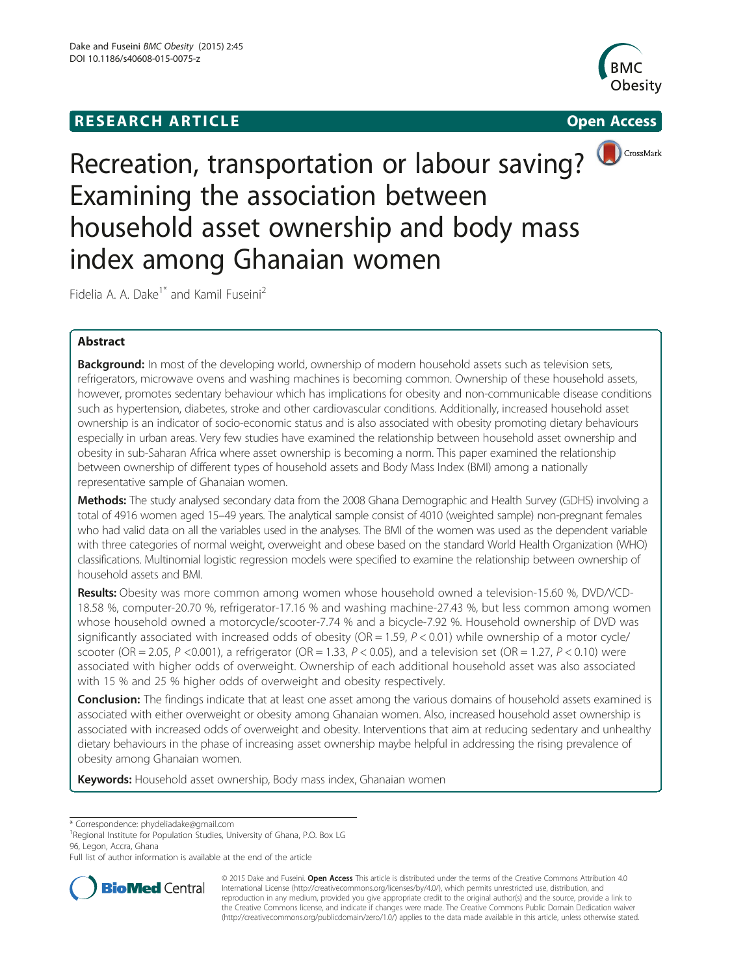# **RESEARCH ARTICLE Example 2008 CONSIDERING CONSIDERING CONSIDERING CONSIDERING CONSIDERING CONSIDERING CONSIDERING CONSIDERING CONSIDERING CONSIDERING CONSIDERING CONSIDERING CONSIDERING CONSIDERING CONSIDERING CONSIDE**





CrossMark

# Recreation, transportation or labour saving? Examining the association between household asset ownership and body mass index among Ghanaian women

Fidelia A. A. Dake<sup>1\*</sup> and Kamil Fuseini<sup>2</sup>

# Abstract

**Background:** In most of the developing world, ownership of modern household assets such as television sets, refrigerators, microwave ovens and washing machines is becoming common. Ownership of these household assets, however, promotes sedentary behaviour which has implications for obesity and non-communicable disease conditions such as hypertension, diabetes, stroke and other cardiovascular conditions. Additionally, increased household asset ownership is an indicator of socio-economic status and is also associated with obesity promoting dietary behaviours especially in urban areas. Very few studies have examined the relationship between household asset ownership and obesity in sub-Saharan Africa where asset ownership is becoming a norm. This paper examined the relationship between ownership of different types of household assets and Body Mass Index (BMI) among a nationally representative sample of Ghanaian women.

Methods: The study analysed secondary data from the 2008 Ghana Demographic and Health Survey (GDHS) involving a total of 4916 women aged 15–49 years. The analytical sample consist of 4010 (weighted sample) non-pregnant females who had valid data on all the variables used in the analyses. The BMI of the women was used as the dependent variable with three categories of normal weight, overweight and obese based on the standard World Health Organization (WHO) classifications. Multinomial logistic regression models were specified to examine the relationship between ownership of household assets and BMI.

Results: Obesity was more common among women whose household owned a television-15.60 %, DVD/VCD-18.58 %, computer-20.70 %, refrigerator-17.16 % and washing machine-27.43 %, but less common among women whose household owned a motorcycle/scooter-7.74 % and a bicycle-7.92 %. Household ownership of DVD was significantly associated with increased odds of obesity ( $OR = 1.59$ ,  $P < 0.01$ ) while ownership of a motor cycle/ scooter (OR = 2.05, P < 0.001), a refrigerator (OR = 1.33, P < 0.05), and a television set (OR = 1.27, P < 0.10) were associated with higher odds of overweight. Ownership of each additional household asset was also associated with 15 % and 25 % higher odds of overweight and obesity respectively.

Conclusion: The findings indicate that at least one asset among the various domains of household assets examined is associated with either overweight or obesity among Ghanaian women. Also, increased household asset ownership is associated with increased odds of overweight and obesity. Interventions that aim at reducing sedentary and unhealthy dietary behaviours in the phase of increasing asset ownership maybe helpful in addressing the rising prevalence of obesity among Ghanaian women.

Keywords: Household asset ownership, Body mass index, Ghanaian women

<sup>1</sup>Regional Institute for Population Studies, University of Ghana, P.O. Box LG 96, Legon, Accra, Ghana

Full list of author information is available at the end of the article



© 2015 Dake and Fuseini. Open Access This article is distributed under the terms of the Creative Commons Attribution 4.0 International License [\(http://creativecommons.org/licenses/by/4.0/](http://creativecommons.org/licenses/by/4.0/)), which permits unrestricted use, distribution, and reproduction in any medium, provided you give appropriate credit to the original author(s) and the source, provide a link to the Creative Commons license, and indicate if changes were made. The Creative Commons Public Domain Dedication waiver [\(http://creativecommons.org/publicdomain/zero/1.0/](http://creativecommons.org/publicdomain/zero/1.0/)) applies to the data made available in this article, unless otherwise stated.

<sup>\*</sup> Correspondence: [phydeliadake@gmail.com](mailto:phydeliadake@gmail.com) <sup>1</sup>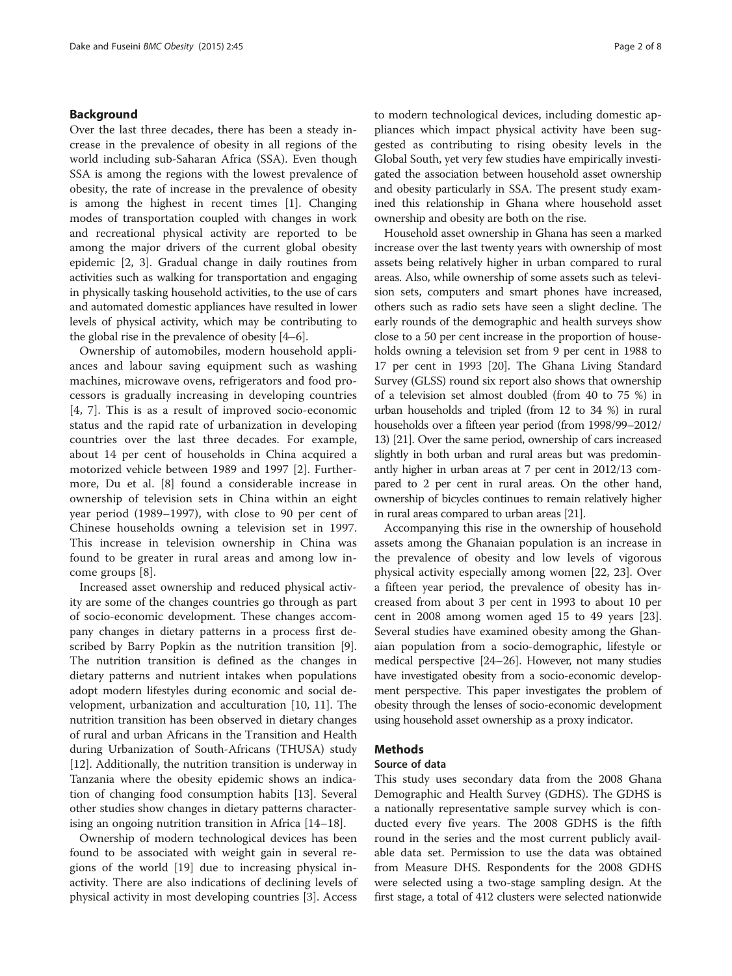# Background

Over the last three decades, there has been a steady increase in the prevalence of obesity in all regions of the world including sub-Saharan Africa (SSA). Even though SSA is among the regions with the lowest prevalence of obesity, the rate of increase in the prevalence of obesity is among the highest in recent times [[1\]](#page-7-0). Changing modes of transportation coupled with changes in work and recreational physical activity are reported to be among the major drivers of the current global obesity epidemic [[2, 3](#page-7-0)]. Gradual change in daily routines from activities such as walking for transportation and engaging in physically tasking household activities, to the use of cars and automated domestic appliances have resulted in lower levels of physical activity, which may be contributing to the global rise in the prevalence of obesity [\[4](#page-7-0)–[6\]](#page-7-0).

Ownership of automobiles, modern household appliances and labour saving equipment such as washing machines, microwave ovens, refrigerators and food processors is gradually increasing in developing countries [[4, 7](#page-7-0)]. This is as a result of improved socio-economic status and the rapid rate of urbanization in developing countries over the last three decades. For example, about 14 per cent of households in China acquired a motorized vehicle between 1989 and 1997 [[2\]](#page-7-0). Furthermore, Du et al. [[8](#page-7-0)] found a considerable increase in ownership of television sets in China within an eight year period (1989–1997), with close to 90 per cent of Chinese households owning a television set in 1997. This increase in television ownership in China was found to be greater in rural areas and among low income groups [[8\]](#page-7-0).

Increased asset ownership and reduced physical activity are some of the changes countries go through as part of socio-economic development. These changes accompany changes in dietary patterns in a process first described by Barry Popkin as the nutrition transition [\[9](#page-7-0)]. The nutrition transition is defined as the changes in dietary patterns and nutrient intakes when populations adopt modern lifestyles during economic and social development, urbanization and acculturation [\[10, 11](#page-7-0)]. The nutrition transition has been observed in dietary changes of rural and urban Africans in the Transition and Health during Urbanization of South-Africans (THUSA) study [[12\]](#page-7-0). Additionally, the nutrition transition is underway in Tanzania where the obesity epidemic shows an indication of changing food consumption habits [\[13](#page-7-0)]. Several other studies show changes in dietary patterns characterising an ongoing nutrition transition in Africa [[14](#page-7-0)–[18](#page-7-0)].

Ownership of modern technological devices has been found to be associated with weight gain in several regions of the world [[19\]](#page-7-0) due to increasing physical inactivity. There are also indications of declining levels of physical activity in most developing countries [[3\]](#page-7-0). Access

to modern technological devices, including domestic appliances which impact physical activity have been suggested as contributing to rising obesity levels in the Global South, yet very few studies have empirically investigated the association between household asset ownership and obesity particularly in SSA. The present study examined this relationship in Ghana where household asset ownership and obesity are both on the rise.

Household asset ownership in Ghana has seen a marked increase over the last twenty years with ownership of most assets being relatively higher in urban compared to rural areas. Also, while ownership of some assets such as television sets, computers and smart phones have increased, others such as radio sets have seen a slight decline. The early rounds of the demographic and health surveys show close to a 50 per cent increase in the proportion of households owning a television set from 9 per cent in 1988 to 17 per cent in 1993 [\[20](#page-7-0)]. The Ghana Living Standard Survey (GLSS) round six report also shows that ownership of a television set almost doubled (from 40 to 75 %) in urban households and tripled (from 12 to 34 %) in rural households over a fifteen year period (from 1998/99–2012/ 13) [\[21](#page-7-0)]. Over the same period, ownership of cars increased slightly in both urban and rural areas but was predominantly higher in urban areas at 7 per cent in 2012/13 compared to 2 per cent in rural areas. On the other hand, ownership of bicycles continues to remain relatively higher in rural areas compared to urban areas [\[21\]](#page-7-0).

Accompanying this rise in the ownership of household assets among the Ghanaian population is an increase in the prevalence of obesity and low levels of vigorous physical activity especially among women [\[22, 23](#page-7-0)]. Over a fifteen year period, the prevalence of obesity has increased from about 3 per cent in 1993 to about 10 per cent in 2008 among women aged 15 to 49 years [\[23](#page-7-0)]. Several studies have examined obesity among the Ghanaian population from a socio-demographic, lifestyle or medical perspective [[24](#page-7-0)–[26](#page-7-0)]. However, not many studies have investigated obesity from a socio-economic development perspective. This paper investigates the problem of obesity through the lenses of socio-economic development using household asset ownership as a proxy indicator.

#### Methods

#### Source of data

This study uses secondary data from the 2008 Ghana Demographic and Health Survey (GDHS). The GDHS is a nationally representative sample survey which is conducted every five years. The 2008 GDHS is the fifth round in the series and the most current publicly available data set. Permission to use the data was obtained from Measure DHS. Respondents for the 2008 GDHS were selected using a two-stage sampling design. At the first stage, a total of 412 clusters were selected nationwide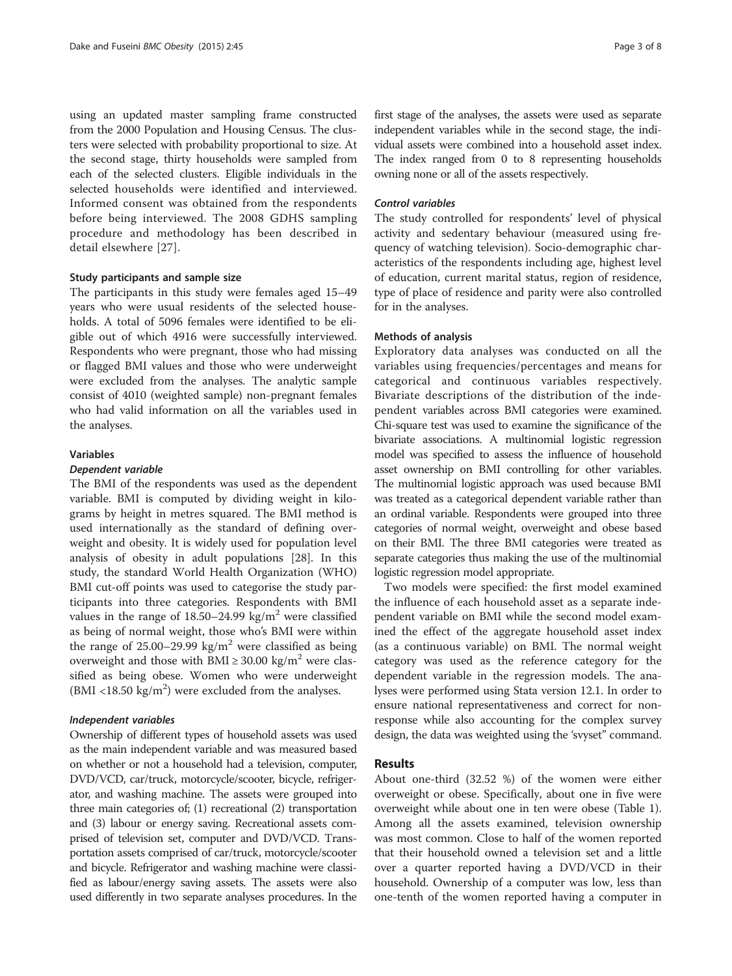using an updated master sampling frame constructed from the 2000 Population and Housing Census. The clusters were selected with probability proportional to size. At the second stage, thirty households were sampled from each of the selected clusters. Eligible individuals in the selected households were identified and interviewed. Informed consent was obtained from the respondents before being interviewed. The 2008 GDHS sampling procedure and methodology has been described in detail elsewhere [[27](#page-7-0)].

## Study participants and sample size

The participants in this study were females aged 15–49 years who were usual residents of the selected households. A total of 5096 females were identified to be eligible out of which 4916 were successfully interviewed. Respondents who were pregnant, those who had missing or flagged BMI values and those who were underweight were excluded from the analyses. The analytic sample consist of 4010 (weighted sample) non-pregnant females who had valid information on all the variables used in the analyses.

#### Variables

# Dependent variable

The BMI of the respondents was used as the dependent variable. BMI is computed by dividing weight in kilograms by height in metres squared. The BMI method is used internationally as the standard of defining overweight and obesity. It is widely used for population level analysis of obesity in adult populations [[28\]](#page-7-0). In this study, the standard World Health Organization (WHO) BMI cut-off points was used to categorise the study participants into three categories. Respondents with BMI values in the range of  $18.50-24.99 \text{ kg/m}^2$  were classified as being of normal weight, those who's BMI were within the range of  $25.00-29.99 \text{ kg/m}^2$  were classified as being overweight and those with BMI  $\geq$  30.00 kg/m<sup>2</sup> were classified as being obese. Women who were underweight (BMI <18.50  $\text{kg/m}^2$ ) were excluded from the analyses.

#### Independent variables

Ownership of different types of household assets was used as the main independent variable and was measured based on whether or not a household had a television, computer, DVD/VCD, car/truck, motorcycle/scooter, bicycle, refrigerator, and washing machine. The assets were grouped into three main categories of; (1) recreational (2) transportation and (3) labour or energy saving. Recreational assets comprised of television set, computer and DVD/VCD. Transportation assets comprised of car/truck, motorcycle/scooter and bicycle. Refrigerator and washing machine were classified as labour/energy saving assets. The assets were also used differently in two separate analyses procedures. In the

first stage of the analyses, the assets were used as separate independent variables while in the second stage, the individual assets were combined into a household asset index. The index ranged from 0 to 8 representing households owning none or all of the assets respectively.

#### Control variables

The study controlled for respondents' level of physical activity and sedentary behaviour (measured using frequency of watching television). Socio-demographic characteristics of the respondents including age, highest level of education, current marital status, region of residence, type of place of residence and parity were also controlled for in the analyses.

#### Methods of analysis

Exploratory data analyses was conducted on all the variables using frequencies/percentages and means for categorical and continuous variables respectively. Bivariate descriptions of the distribution of the independent variables across BMI categories were examined. Chi-square test was used to examine the significance of the bivariate associations. A multinomial logistic regression model was specified to assess the influence of household asset ownership on BMI controlling for other variables. The multinomial logistic approach was used because BMI was treated as a categorical dependent variable rather than an ordinal variable. Respondents were grouped into three categories of normal weight, overweight and obese based on their BMI. The three BMI categories were treated as separate categories thus making the use of the multinomial logistic regression model appropriate.

Two models were specified: the first model examined the influence of each household asset as a separate independent variable on BMI while the second model examined the effect of the aggregate household asset index (as a continuous variable) on BMI. The normal weight category was used as the reference category for the dependent variable in the regression models. The analyses were performed using Stata version 12.1. In order to ensure national representativeness and correct for nonresponse while also accounting for the complex survey design, the data was weighted using the 'svyset" command.

# Results

About one-third (32.52 %) of the women were either overweight or obese. Specifically, about one in five were overweight while about one in ten were obese (Table [1](#page-3-0)). Among all the assets examined, television ownership was most common. Close to half of the women reported that their household owned a television set and a little over a quarter reported having a DVD/VCD in their household. Ownership of a computer was low, less than one-tenth of the women reported having a computer in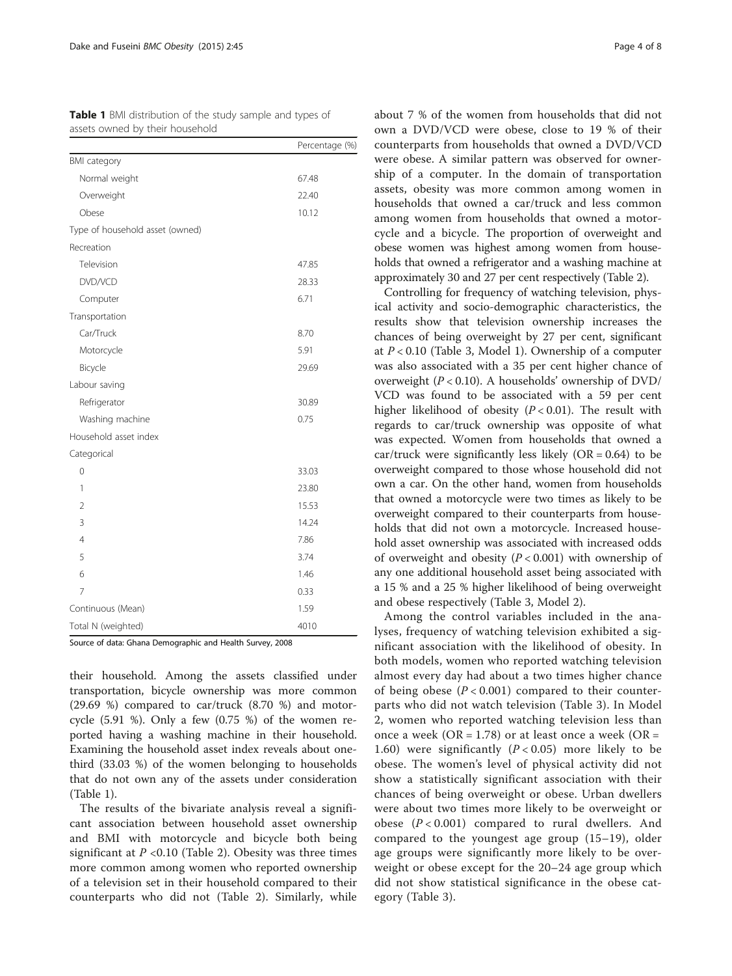| assets owned by their household |                |  |
|---------------------------------|----------------|--|
|                                 | Percentage (%) |  |
| <b>BMI</b> category             |                |  |
| Normal weight                   | 67.48          |  |
| Overweight                      | 22.40          |  |
| Obese                           | 10.12          |  |
| Type of household asset (owned) |                |  |
| Recreation                      |                |  |
| Television                      | 47.85          |  |
| DVD/VCD                         | 28.33          |  |
| Computer                        | 6.71           |  |
| Transportation                  |                |  |
| Car/Truck                       | 8.70           |  |
| Motorcycle                      | 5.91           |  |
| Bicycle                         | 29.69          |  |
| Labour saving                   |                |  |
| Refrigerator                    | 30.89          |  |
| Washing machine                 | 0.75           |  |
| Household asset index           |                |  |
| Categorical                     |                |  |
| 0                               | 33.03          |  |
| 1                               | 23.80          |  |
| 2                               | 15.53          |  |
| 3                               | 14.24          |  |
| $\overline{4}$                  | 7.86           |  |
| 5                               | 3.74           |  |
| 6                               | 1.46           |  |
| 7                               | 0.33           |  |
| Continuous (Mean)               | 1.59           |  |
| Total N (weighted)              | 4010           |  |

<span id="page-3-0"></span>Table 1 BMI distribution of the study sample and types of

Source of data: Ghana Demographic and Health Survey, 2008

their household. Among the assets classified under transportation, bicycle ownership was more common (29.69 %) compared to car/truck (8.70 %) and motorcycle  $(5.91 \%)$ . Only a few  $(0.75 \%)$  of the women reported having a washing machine in their household. Examining the household asset index reveals about onethird (33.03 %) of the women belonging to households that do not own any of the assets under consideration (Table 1).

The results of the bivariate analysis reveal a significant association between household asset ownership and BMI with motorcycle and bicycle both being significant at  $P < 0.10$  (Table [2\)](#page-4-0). Obesity was three times more common among women who reported ownership of a television set in their household compared to their counterparts who did not (Table [2\)](#page-4-0). Similarly, while about 7 % of the women from households that did not own a DVD/VCD were obese, close to 19 % of their counterparts from households that owned a DVD/VCD were obese. A similar pattern was observed for ownership of a computer. In the domain of transportation assets, obesity was more common among women in households that owned a car/truck and less common among women from households that owned a motorcycle and a bicycle. The proportion of overweight and obese women was highest among women from households that owned a refrigerator and a washing machine at approximately 30 and 27 per cent respectively (Table [2](#page-4-0)).

Controlling for frequency of watching television, physical activity and socio-demographic characteristics, the results show that television ownership increases the chances of being overweight by 27 per cent, significant at  $P < 0.10$  (Table [3,](#page-5-0) Model 1). Ownership of a computer was also associated with a 35 per cent higher chance of overweight ( $P < 0.10$ ). A households' ownership of DVD/ VCD was found to be associated with a 59 per cent higher likelihood of obesity  $(P < 0.01)$ . The result with regards to car/truck ownership was opposite of what was expected. Women from households that owned a car/truck were significantly less likely  $(OR = 0.64)$  to be overweight compared to those whose household did not own a car. On the other hand, women from households that owned a motorcycle were two times as likely to be overweight compared to their counterparts from households that did not own a motorcycle. Increased household asset ownership was associated with increased odds of overweight and obesity  $(P < 0.001)$  with ownership of any one additional household asset being associated with a 15 % and a 25 % higher likelihood of being overweight and obese respectively (Table [3](#page-5-0), Model 2).

Among the control variables included in the analyses, frequency of watching television exhibited a significant association with the likelihood of obesity. In both models, women who reported watching television almost every day had about a two times higher chance of being obese  $(P < 0.001)$  compared to their counterparts who did not watch television (Table [3](#page-5-0)). In Model 2, women who reported watching television less than once a week (OR = 1.78) or at least once a week (OR = 1.60) were significantly  $(P < 0.05)$  more likely to be obese. The women's level of physical activity did not show a statistically significant association with their chances of being overweight or obese. Urban dwellers were about two times more likely to be overweight or obese  $(P < 0.001)$  compared to rural dwellers. And compared to the youngest age group (15–19), older age groups were significantly more likely to be overweight or obese except for the 20–24 age group which did not show statistical significance in the obese category (Table [3](#page-5-0)).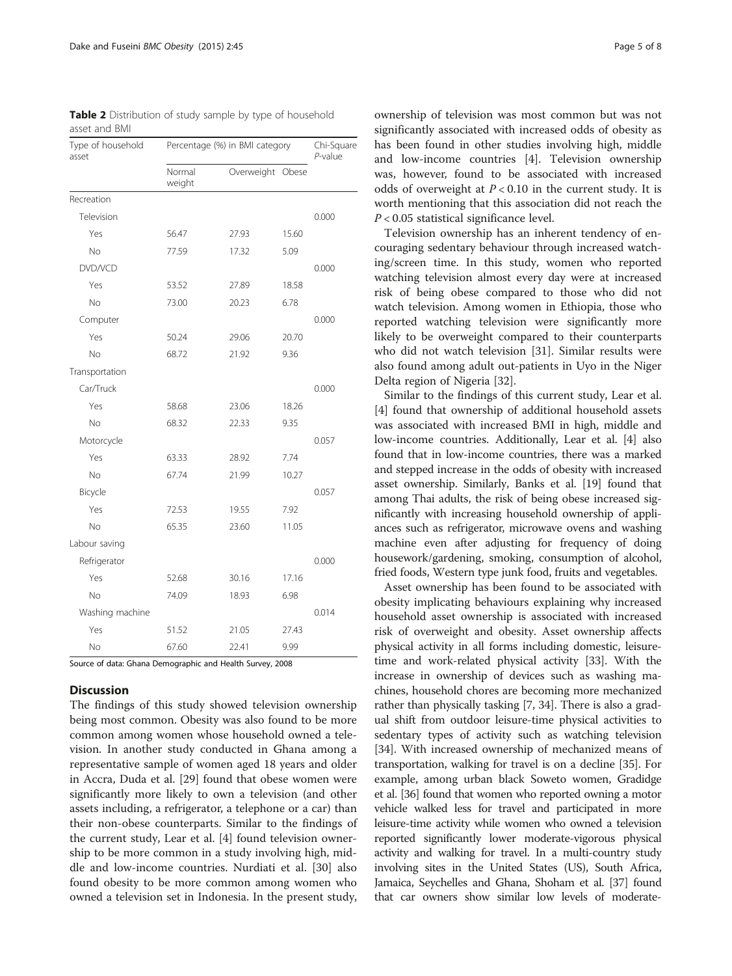<span id="page-4-0"></span>

|               | <b>Table 2</b> Distribution of study sample by type of household |
|---------------|------------------------------------------------------------------|
| asset and BMI |                                                                  |

| Type of household<br>asset | Percentage (%) in BMI category |                  |       | Chi-Square<br>$P$ -value |
|----------------------------|--------------------------------|------------------|-------|--------------------------|
|                            | Normal<br>weight               | Overweight Obese |       |                          |
| Recreation                 |                                |                  |       |                          |
| Television                 |                                |                  |       | 0.000                    |
| Yes                        | 56.47                          | 27.93            | 15.60 |                          |
| No.                        | 77.59                          | 17.32            | 5.09  |                          |
| DVD/VCD                    |                                |                  |       | 0.000                    |
| Yes                        | 53.52                          | 27.89            | 18.58 |                          |
| N <sub>o</sub>             | 73.00                          | 20.23            | 6.78  |                          |
| Computer                   |                                |                  |       | 0.000                    |
| Yes                        | 50.24                          | 29.06            | 20.70 |                          |
| N <sub>o</sub>             | 68.72                          | 21.92            | 9.36  |                          |
| Transportation             |                                |                  |       |                          |
| Car/Truck                  |                                |                  |       | 0.000                    |
| Yes                        | 58.68                          | 23.06            | 18.26 |                          |
| N <sub>o</sub>             | 68.32                          | 22.33            | 9.35  |                          |
| Motorcycle                 |                                |                  |       | 0.057                    |
| Yes                        | 63.33                          | 28.92            | 7.74  |                          |
| No                         | 67.74                          | 21.99            | 10.27 |                          |
| Bicycle                    |                                |                  |       | 0.057                    |
| Yes                        | 72.53                          | 19.55            | 7.92  |                          |
| N <sub>o</sub>             | 65.35                          | 23.60            | 11.05 |                          |
| Labour saving              |                                |                  |       |                          |
| Refrigerator               |                                |                  |       | 0.000                    |
| Yes                        | 52.68                          | 30.16            | 17.16 |                          |
| N <sub>o</sub>             | 74.09                          | 18.93            | 6.98  |                          |
| Washing machine            |                                |                  |       | 0.014                    |
| Yes                        | 51.52                          | 21.05            | 27.43 |                          |
| N <sub>o</sub>             | 67.60                          | 22.41            | 9.99  |                          |

Source of data: Ghana Demographic and Health Survey, 2008

# **Discussion**

The findings of this study showed television ownership being most common. Obesity was also found to be more common among women whose household owned a television. In another study conducted in Ghana among a representative sample of women aged 18 years and older in Accra, Duda et al. [\[29\]](#page-7-0) found that obese women were significantly more likely to own a television (and other assets including, a refrigerator, a telephone or a car) than their non-obese counterparts. Similar to the findings of the current study, Lear et al. [\[4](#page-7-0)] found television ownership to be more common in a study involving high, middle and low-income countries. Nurdiati et al. [\[30](#page-7-0)] also found obesity to be more common among women who owned a television set in Indonesia. In the present study,

ownership of television was most common but was not significantly associated with increased odds of obesity as has been found in other studies involving high, middle and low-income countries [\[4\]](#page-7-0). Television ownership was, however, found to be associated with increased odds of overweight at  $P < 0.10$  in the current study. It is worth mentioning that this association did not reach the P < 0.05 statistical significance level.

Television ownership has an inherent tendency of encouraging sedentary behaviour through increased watching/screen time. In this study, women who reported watching television almost every day were at increased risk of being obese compared to those who did not watch television. Among women in Ethiopia, those who reported watching television were significantly more likely to be overweight compared to their counterparts who did not watch television [[31](#page-7-0)]. Similar results were also found among adult out-patients in Uyo in the Niger Delta region of Nigeria [[32\]](#page-7-0).

Similar to the findings of this current study, Lear et al. [[4\]](#page-7-0) found that ownership of additional household assets was associated with increased BMI in high, middle and low-income countries. Additionally, Lear et al. [\[4](#page-7-0)] also found that in low-income countries, there was a marked and stepped increase in the odds of obesity with increased asset ownership. Similarly, Banks et al. [\[19\]](#page-7-0) found that among Thai adults, the risk of being obese increased significantly with increasing household ownership of appliances such as refrigerator, microwave ovens and washing machine even after adjusting for frequency of doing housework/gardening, smoking, consumption of alcohol, fried foods, Western type junk food, fruits and vegetables.

Asset ownership has been found to be associated with obesity implicating behaviours explaining why increased household asset ownership is associated with increased risk of overweight and obesity. Asset ownership affects physical activity in all forms including domestic, leisuretime and work-related physical activity [\[33\]](#page-7-0). With the increase in ownership of devices such as washing machines, household chores are becoming more mechanized rather than physically tasking [[7](#page-7-0), [34\]](#page-7-0). There is also a gradual shift from outdoor leisure-time physical activities to sedentary types of activity such as watching television [[34](#page-7-0)]. With increased ownership of mechanized means of transportation, walking for travel is on a decline [[35](#page-7-0)]. For example, among urban black Soweto women, Gradidge et al. [\[36](#page-7-0)] found that women who reported owning a motor vehicle walked less for travel and participated in more leisure-time activity while women who owned a television reported significantly lower moderate-vigorous physical activity and walking for travel. In a multi-country study involving sites in the United States (US), South Africa, Jamaica, Seychelles and Ghana, Shoham et al. [\[37](#page-7-0)] found that car owners show similar low levels of moderate-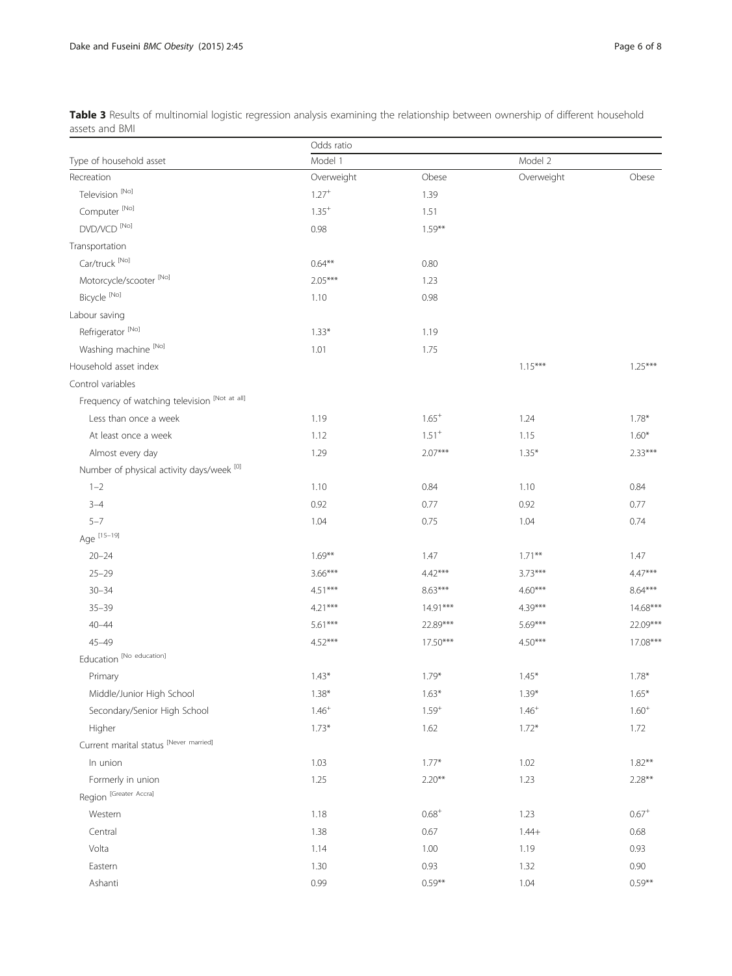|                                               | Odds ratio |            |            |            |
|-----------------------------------------------|------------|------------|------------|------------|
| Type of household asset                       | Model 1    |            | Model 2    |            |
| Recreation                                    | Overweight | Obese      | Overweight | Obese      |
| Television <sup>[No]</sup>                    | $1.27 +$   | 1.39       |            |            |
| Computer <sup>[No]</sup>                      | $1.35^{+}$ | 1.51       |            |            |
| DVD/VCD <sup>[No]</sup>                       | 0.98       | $1.59***$  |            |            |
| Transportation                                |            |            |            |            |
| Car/truck [No]                                | $0.64**$   | 0.80       |            |            |
| Motorcycle/scooter <sup>[No]</sup>            | $2.05***$  | 1.23       |            |            |
| Bicycle <sup>[No]</sup>                       | 1.10       | 0.98       |            |            |
| Labour saving                                 |            |            |            |            |
| Refrigerator <sup>[No]</sup>                  | $1.33*$    | 1.19       |            |            |
| Washing machine [No]                          | 1.01       | 1.75       |            |            |
| Household asset index                         |            |            | $1.15***$  | $1.25***$  |
| Control variables                             |            |            |            |            |
| Frequency of watching television [Not at all] |            |            |            |            |
| Less than once a week                         | 1.19       | $1.65^{+}$ | 1.24       | $1.78*$    |
| At least once a week                          | 1.12       | $1.51^{+}$ | 1.15       | $1.60*$    |
| Almost every day                              | 1.29       | $2.07***$  | $1.35*$    | $2.33***$  |
| Number of physical activity days/week [0]     |            |            |            |            |
| $1 - 2$                                       | 1.10       | 0.84       | 1.10       | 0.84       |
| $3 - 4$                                       | 0.92       | 0.77       | 0.92       | 0.77       |
| $5 - 7$                                       | 1.04       | 0.75       | 1.04       | 0.74       |
| Age [15-19]                                   |            |            |            |            |
| $20 - 24$                                     | $1.69***$  | 1.47       | $1.71***$  | 1.47       |
| $25 - 29$                                     | $3.66***$  | $4.42***$  | $3.73***$  | $4.47***$  |
| $30 - 34$                                     | $4.51***$  | $8.63***$  | $4.60***$  | $8.64***$  |
| $35 - 39$                                     | $4.21***$  | $14.91***$ | $4.39***$  | $14.68***$ |
| $40 - 44$                                     | $5.61***$  | 22.89***   | $5.69***$  | 22.09***   |
| $45 - 49$                                     | $4.52***$  | $17.50***$ | $4.50***$  | 17.08***   |
| Education [No education]                      |            |            |            |            |
| Primary                                       | $1.43*$    | $1.79*$    | $1.45*$    | $1.78*$    |
| Middle/Junior High School                     | $1.38*$    | $1.63*$    | $1.39*$    | $1.65*$    |
| Secondary/Senior High School                  | $1.46^{+}$ | $1.59^{+}$ | $1.46^{+}$ | $1.60^{+}$ |
| Higher                                        | $1.73*$    | 1.62       | $1.72*$    | 1.72       |
| Current marital status [Never married]        |            |            |            |            |
| In union                                      | 1.03       | $1.77*$    | 1.02       | $1.82**$   |
| Formerly in union                             | 1.25       | $2.20**$   | 1.23       | $2.28**$   |
| Region [Greater Accra]                        |            |            |            |            |
| Western                                       | 1.18       | $0.68^{+}$ | 1.23       | $0.67^{+}$ |
| Central                                       | 1.38       | 0.67       | $1.44+$    | 0.68       |
| Volta                                         | 1.14       | 1.00       | 1.19       | 0.93       |
| Eastern                                       | 1.30       | 0.93       | 1.32       | 0.90       |
| Ashanti                                       | 0.99       | $0.59**$   | 1.04       | $0.59**$   |

<span id="page-5-0"></span>Table 3 Results of multinomial logistic regression analysis examining the relationship between ownership of different household assets and BMI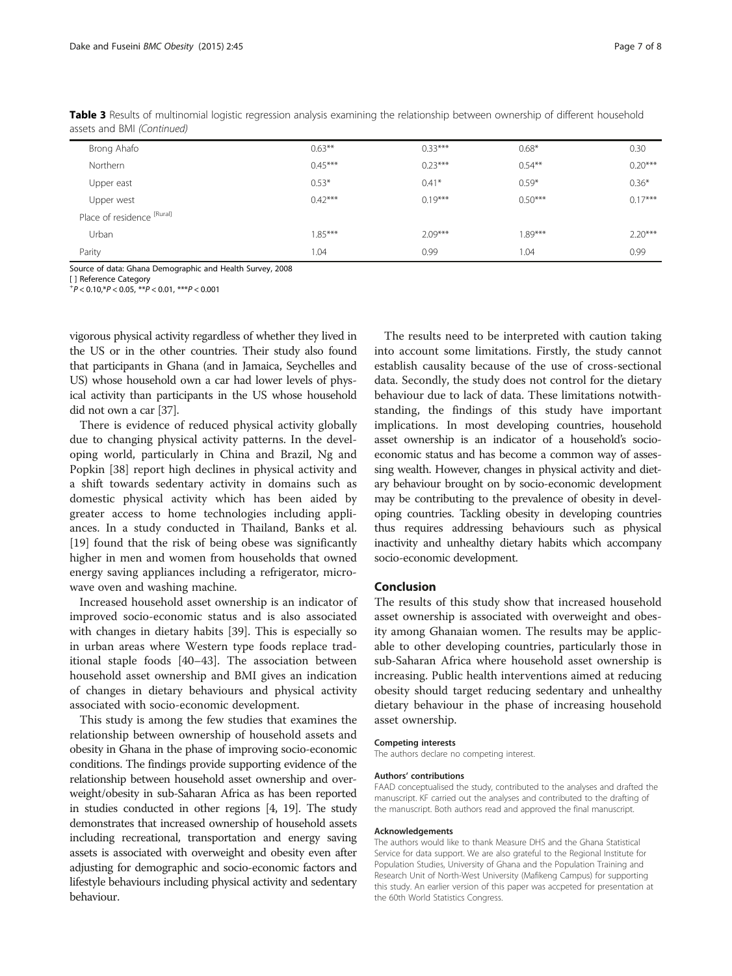| Brong Ahafo                | $0.63***$ | $0.33***$ | $0.68*$   | 0.30      |
|----------------------------|-----------|-----------|-----------|-----------|
| Northern                   | $0.45***$ | $0.23***$ | $0.54***$ | $0.20***$ |
| Upper east                 | $0.53*$   | $0.41*$   | $0.59*$   | $0.36*$   |
| Upper west                 | $0.42***$ | $0.19***$ | $0.50***$ | $0.17***$ |
| Place of residence [Rural] |           |           |           |           |
| Urban                      | $1.85***$ | $2.09***$ | $1.89***$ | $2.20***$ |
| Parity                     | 1.04      | 0.99      | 1.04      | 0.99      |

Table 3 Results of multinomial logistic regression analysis examining the relationship between ownership of different household assets and BMI (Continued)

Source of data: Ghana Demographic and Health Survey, 2008

[ ] Reference Category

 $^{+}P$  < 0.10,  $^{*}P$  < 0.05,  $^{**}P$  < 0.01,  $^{***}P$  < 0.001

vigorous physical activity regardless of whether they lived in the US or in the other countries. Their study also found that participants in Ghana (and in Jamaica, Seychelles and US) whose household own a car had lower levels of physical activity than participants in the US whose household did not own a car [\[37\]](#page-7-0).

There is evidence of reduced physical activity globally due to changing physical activity patterns. In the developing world, particularly in China and Brazil, Ng and Popkin [\[38\]](#page-7-0) report high declines in physical activity and a shift towards sedentary activity in domains such as domestic physical activity which has been aided by greater access to home technologies including appliances. In a study conducted in Thailand, Banks et al. [[19\]](#page-7-0) found that the risk of being obese was significantly higher in men and women from households that owned energy saving appliances including a refrigerator, microwave oven and washing machine.

Increased household asset ownership is an indicator of improved socio-economic status and is also associated with changes in dietary habits [[39](#page-7-0)]. This is especially so in urban areas where Western type foods replace traditional staple foods [\[40](#page-7-0)–[43\]](#page-7-0). The association between household asset ownership and BMI gives an indication of changes in dietary behaviours and physical activity associated with socio-economic development.

This study is among the few studies that examines the relationship between ownership of household assets and obesity in Ghana in the phase of improving socio-economic conditions. The findings provide supporting evidence of the relationship between household asset ownership and overweight/obesity in sub-Saharan Africa as has been reported in studies conducted in other regions [\[4, 19\]](#page-7-0). The study demonstrates that increased ownership of household assets including recreational, transportation and energy saving assets is associated with overweight and obesity even after adjusting for demographic and socio-economic factors and lifestyle behaviours including physical activity and sedentary behaviour.

The results need to be interpreted with caution taking into account some limitations. Firstly, the study cannot establish causality because of the use of cross-sectional data. Secondly, the study does not control for the dietary behaviour due to lack of data. These limitations notwithstanding, the findings of this study have important implications. In most developing countries, household asset ownership is an indicator of a household's socioeconomic status and has become a common way of assessing wealth. However, changes in physical activity and dietary behaviour brought on by socio-economic development may be contributing to the prevalence of obesity in developing countries. Tackling obesity in developing countries thus requires addressing behaviours such as physical inactivity and unhealthy dietary habits which accompany socio-economic development.

# Conclusion

The results of this study show that increased household asset ownership is associated with overweight and obesity among Ghanaian women. The results may be applicable to other developing countries, particularly those in sub-Saharan Africa where household asset ownership is increasing. Public health interventions aimed at reducing obesity should target reducing sedentary and unhealthy dietary behaviour in the phase of increasing household asset ownership.

#### Competing interests

The authors declare no competing interest.

#### Authors' contributions

FAAD conceptualised the study, contributed to the analyses and drafted the manuscript. KF carried out the analyses and contributed to the drafting of the manuscript. Both authors read and approved the final manuscript.

#### Acknowledgements

The authors would like to thank Measure DHS and the Ghana Statistical Service for data support. We are also grateful to the Regional Institute for Population Studies, University of Ghana and the Population Training and Research Unit of North-West University (Mafikeng Campus) for supporting this study. An earlier version of this paper was accpeted for presentation at the 60th World Statistics Congress.